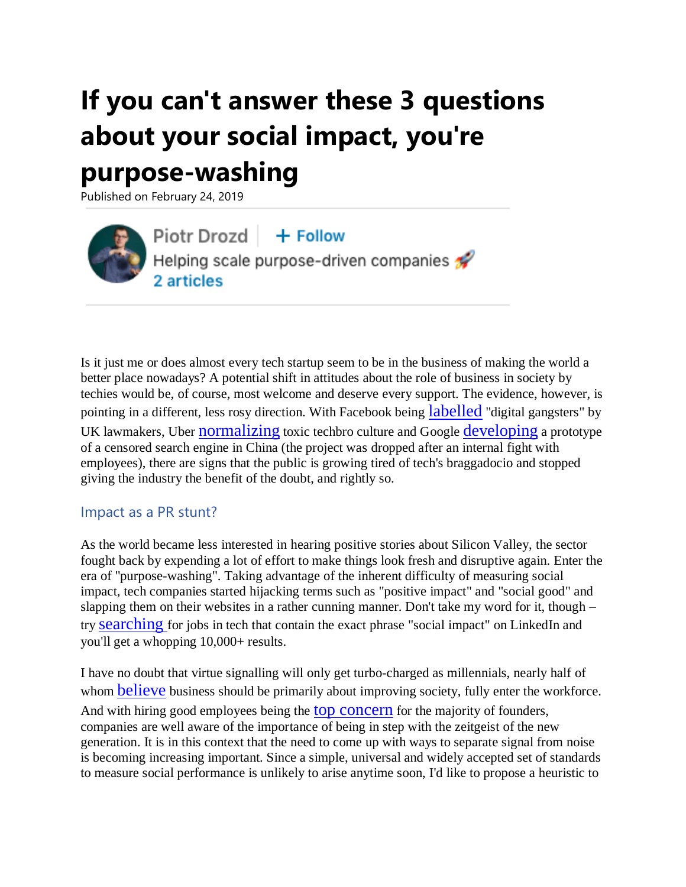# **If you can't answer these 3 questions about your social impact, you're**

## **purpose-washing**

Published on February 24, 2019

Piotr Drozd | + Follow Helping scale purpose-driven companies 2 articles

Is it just me or does almost every tech startup seem to be in the business of making the world a better place nowadays? A potential shift in attitudes about the role of business in society by techies would be, of course, most welcome and deserve every support. The evidence, however, is pointing in a different, less rosy direction. With Facebook being [labelled](https://www.theguardian.com/technology/2019/feb/18/facebook-fake-news-investigation-report-regulation-privacy-law-dcms) "digital gangsters" by UK lawmakers, Uber [normalizing](https://www.nytimes.com/2017/02/22/technology/uber-workplace-culture.html) toxic techbro culture and Google [developing](https://www.theguardian.com/technology/2018/sep/18/google-china-dragonfly-search-engine) a prototype of a censored search engine in China (the project was dropped after an internal fight with employees), there are signs that the public is growing tired of tech's braggadocio and stopped giving the industry the benefit of the doubt, and rightly so.

#### Impact as a PR stunt?

As the world became less interested in hearing positive stories about Silicon Valley, the sector fought back by expending a lot of effort to make things look fresh and disruptive again. Enter the era of "purpose-washing". Taking advantage of the inherent difficulty of measuring social impact, tech companies started hijacking terms such as "positive impact" and "social good" and slapping them on their websites in a rather cunning manner. Don't take my word for it, though – try [searching](https://www.linkedin.com/jobs/search/?keywords=%22social%20impact%22%20%2Btechnology&location=Worldwide&locationId=OTHERS.worldwide) for jobs in tech that contain the exact phrase "social impact" on LinkedIn and you'll get a whopping 10,000+ results.

I have no doubt that virtue signalling will only get turbo-charged as millennials, nearly half of whom **[believe](https://www2.deloitte.com/content/dam/Deloitte/global/Documents/About-Deloitte/gx-2018-millennial-survey-report.pdf)** business should be primarily about improving society, fully enter the workforce. And with hiring good employees being the top [concern](http://stateofstartups.firstround.com/2018/#trends-and-takes) for the majority of founders, companies are well aware of the importance of being in step with the zeitgeist of the new generation. It is in this context that the need to come up with ways to separate signal from noise is becoming increasing important. Since a simple, universal and widely accepted set of standards to measure social performance is unlikely to arise anytime soon, I'd like to propose a heuristic to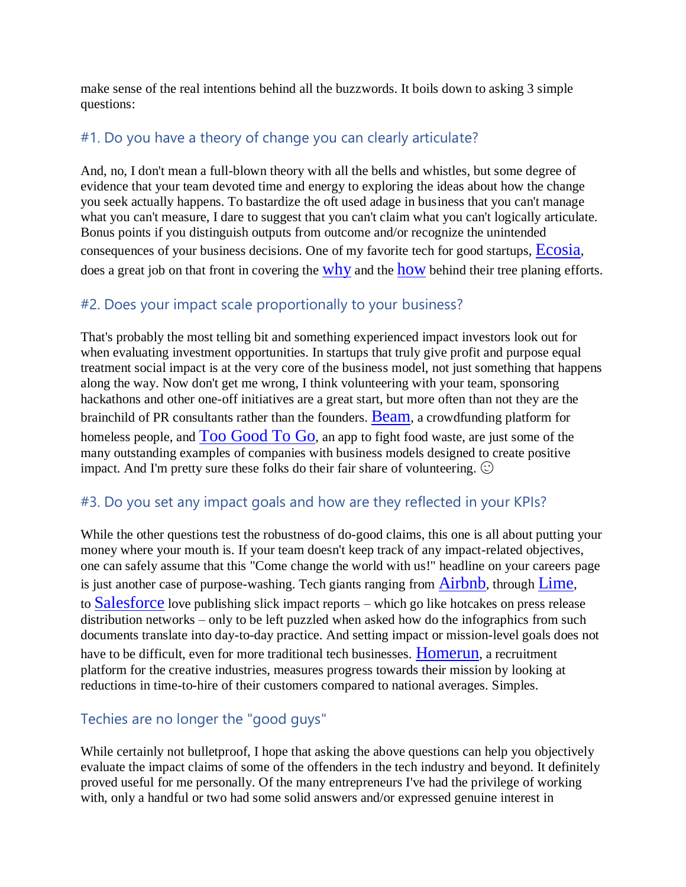make sense of the real intentions behind all the buzzwords. It boils down to asking 3 simple questions:

#### #1. Do you have a theory of change you can clearly articulate?

And, no, I don't mean a full-blown theory with all the bells and whistles, but some degree of evidence that your team devoted time and energy to exploring the ideas about how the change you seek actually happens. To bastardize the oft used adage in business that you can't manage what you can't measure, I dare to suggest that you can't claim what you can't logically articulate. Bonus points if you distinguish outputs from outcome and/or recognize the unintended consequences of your business decisions. One of my favorite tech for good startups, [Ecosia](https://ecosia.zendesk.com/hc/en-us/articles/115000129525-Where-does-Ecosia-plant-trees-), does a great job on that front in covering the [why](https://ecosia.zendesk.com/hc/en-us/articles/202323681-Why-does-Ecosia-plant-trees-) and the [how](https://www.youtube.com/watch?v=BUbid8rghDY) behind their tree planing efforts.

#### #2. Does your impact scale proportionally to your business?

That's probably the most telling bit and something experienced impact investors look out for when evaluating investment opportunities. In startups that truly give profit and purpose equal treatment social impact is at the very core of the business model, not just something that happens along the way. Now don't get me wrong, I think volunteering with your team, sponsoring hackathons and other one-off initiatives are a great start, but more often than not they are the brainchild of PR consultants rather than the founders. **[Beam](https://beam.org/)**, a crowdfunding platform for homeless people, and  $\Gamma$ 00 [Good](https://toogoodtogo.com/en)  $\Gamma$ 0 Go, an app to fight food waste, are just some of the many outstanding examples of companies with business models designed to create positive impact. And I'm pretty sure these folks do their fair share of volunteering.  $\odot$ 

#### #3. Do you set any impact goals and how are they reflected in your KPIs?

While the other questions test the robustness of do-good claims, this one is all about putting your money where your mouth is. If your team doesn't keep track of any impact-related objectives, one can safely assume that this "Come change the world with us!" headline on your careers page is just another case of purpose-washing. Tech giants ranging from  $Airbnb$ , through [Lime](https://www.li.me/blog/lime-one-year-report-scooter-bike-sharing), to [Salesforce](https://www.salesforce.org/announcing-the-salesforce-org-social-impact-report-2018/) love publishing slick impact reports – which go like hotcakes on press release distribution networks – only to be left puzzled when asked how do the infographics from such documents translate into day-to-day practice. And setting impact or mission-level goals does not have to be difficult, even for more traditional tech businesses. **[Homerun](https://www.homerun.co/)**, a recruitment platform for the creative industries, measures progress towards their mission by looking at reductions in time-to-hire of their customers compared to national averages. Simples.

### Techies are no longer the "good guys"

While certainly not bulletproof, I hope that asking the above questions can help you objectively evaluate the impact claims of some of the offenders in the tech industry and beyond. It definitely proved useful for me personally. Of the many entrepreneurs I've had the privilege of working with, only a handful or two had some solid answers and/or expressed genuine interest in